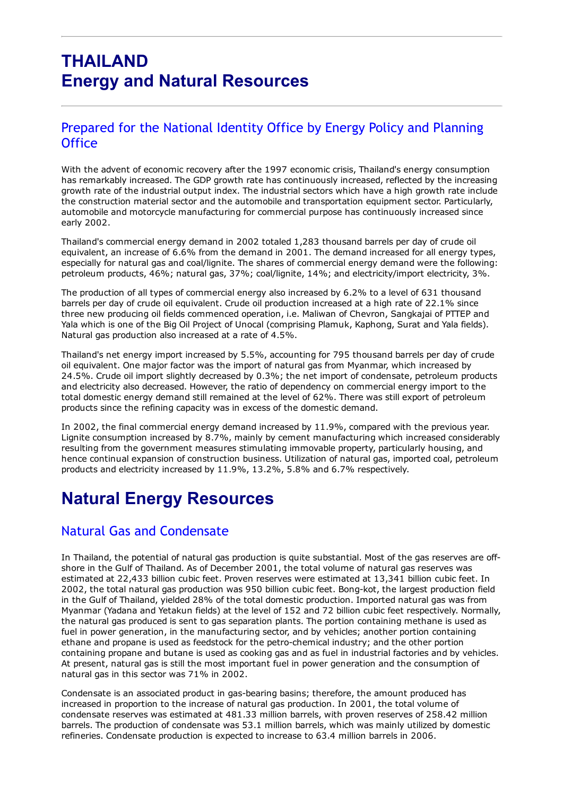## THAILAND Energy and Natural Resources

#### Prepared for the National Identity Office by Energy Policy and Planning **Office**

With the advent of economic recovery after the 1997 economic crisis, Thailand's energy consumption has remarkably increased. The GDP growth rate has continuously increased, reflected by the increasing growth rate of the industrial output index. The industrial sectors which have a high growth rate include the construction material sector and the automobile and transportation equipment sector. Particularly, automobile and motorcycle manufacturing for commercial purpose has continuously increased since early 2002.

Thailand's commercial energy demand in 2002 totaled 1,283 thousand barrels per day of crude oil equivalent, an increase of 6.6% from the demand in 2001. The demand increased for all energy types, especially for natural gas and coal/lignite. The shares of commercial energy demand were the following: petroleum products, 46%; natural gas, 37%; coal/lignite, 14%; and electricity/import electricity, 3%.

The production of all types of commercial energy also increased by 6.2% to a level of 631 thousand barrels per day of crude oil equivalent. Crude oil production increased at a high rate of 22.1% since three new producing oil fields commenced operation, i.e. Maliwan of Chevron, Sangkajai of PTTEP and Yala which is one of the Big Oil Project of Unocal (comprising Plamuk, Kaphong, Surat and Yala fields). Natural gas production also increased at a rate of 4.5%.

Thailand's net energy import increased by 5.5%, accounting for 795 thousand barrels per day of crude oil equivalent. One major factor was the import of natural gas from Myanmar, which increased by 24.5%. Crude oil import slightly decreased by 0.3%; the net import of condensate, petroleum products and electricity also decreased. However, the ratio of dependency on commercial energy import to the total domestic energy demand still remained at the level of 62%. There was still export of petroleum products since the refining capacity was in excess of the domestic demand.

In 2002, the final commercial energy demand increased by 11.9%, compared with the previous year. Lignite consumption increased by 8.7%, mainly by cement manufacturing which increased considerably resulting from the government measures stimulating immovable property, particularly housing, and hence continual expansion of construction business. Utilization of natural gas, imported coal, petroleum products and electricity increased by 11.9%, 13.2%, 5.8% and 6.7% respectively.

## Natural Energy Resources

#### Natural Gas and Condensate

In Thailand, the potential of natural gas production is quite substantial. Most of the gas reserves are offshore in the Gulf of Thailand. As of December 2001, the total volume of natural gas reserves was estimated at 22,433 billion cubic feet. Proven reserves were estimated at 13,341 billion cubic feet. In 2002, the total natural gas production was 950 billion cubic feet. Bong-kot, the largest production field in the Gulf of Thailand, yielded 28% of the total domestic production. Imported natural gas was from Myanmar (Yadana and Yetakun fields) at the level of 152 and 72 billion cubic feet respectively. Normally, the natural gas produced is sent to gas separation plants. The portion containing methane is used as fuel in power generation, in the manufacturing sector, and by vehicles; another portion containing ethane and propane is used as feedstock for the petro-chemical industry; and the other portion containing propane and butane is used as cooking gas and as fuel in industrial factories and by vehicles. At present, natural gas is still the most important fuel in power generation and the consumption of natural gas in this sector was 71% in 2002.

Condensate is an associated product in gas-bearing basins; therefore, the amount produced has increased in proportion to the increase of natural gas production. In 2001, the total volume of condensate reserves was estimated at 481.33 million barrels, with proven reserves of 258.42 million barrels. The production of condensate was 53.1 million barrels, which was mainly utilized by domestic refineries. Condensate production is expected to increase to 63.4 million barrels in 2006.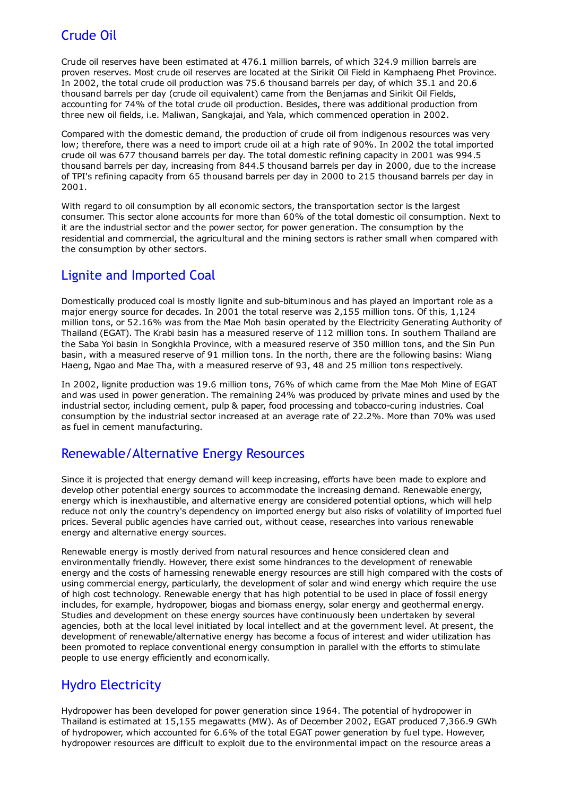## Crude Oil

Crude oil reserves have been estimated at 476.1 million barrels, of which 324.9 million barrels are proven reserves. Most crude oil reserves are located at the Sirikit Oil Field in Kamphaeng Phet Province. In 2002, the total crude oil production was 75.6 thousand barrels per day, of which 35.1 and 20.6 thousand barrels per day (crude oil equivalent) came from the Benjamas and Sirikit Oil Fields, accounting for 74% of the total crude oil production. Besides, there was additional production from three new oil fields, i.e. Maliwan, Sangkajai, and Yala, which commenced operation in 2002.

Compared with the domestic demand, the production of crude oil from indigenous resources was very low; therefore, there was a need to import crude oil at a high rate of 90%. In 2002 the total imported crude oil was 677 thousand barrels per day. The total domestic refining capacity in 2001 was 994.5 thousand barrels per day, increasing from 844.5 thousand barrels per day in 2000, due to the increase of TPI's refining capacity from 65 thousand barrels per day in 2000 to 215 thousand barrels per day in 2001.

With regard to oil consumption by all economic sectors, the transportation sector is the largest consumer. This sector alone accounts for more than 60% of the total domestic oil consumption. Next to it are the industrial sector and the power sector, for power generation. The consumption by the residential and commercial, the agricultural and the mining sectors is rather small when compared with the consumption by other sectors.

## Lignite and Imported Coal

Domestically produced coal is mostly lignite and sub-bituminous and has played an important role as a major energy source for decades. In 2001 the total reserve was 2,155 million tons. Of this, 1,124 million tons, or 52.16% was from the Mae Moh basin operated by the Electricity Generating Authority of Thailand (EGAT). The Krabi basin has a measured reserve of 112 million tons. In southern Thailand are the Saba Yoi basin in Songkhla Province, with a measured reserve of 350 million tons, and the Sin Pun basin, with a measured reserve of 91 million tons. In the north, there are the following basins: Wiang Haeng, Ngao and Mae Tha, with a measured reserve of 93, 48 and 25 million tons respectively.

In 2002, lignite production was 19.6 million tons, 76% of which came from the Mae Moh Mine of EGAT and was used in power generation. The remaining 24% was produced by private mines and used by the industrial sector, including cement, pulp & paper, food processing and tobacco-curing industries. Coal consumption by the industrial sector increased at an average rate of 22.2%. More than 70% was used as fuel in cement manufacturing.

#### Renewable/Alternative Energy Resources

Since it is projected that energy demand will keep increasing, efforts have been made to explore and develop other potential energy sources to accommodate the increasing demand. Renewable energy, energy which is inexhaustible, and alternative energy are considered potential options, which will help reduce not only the country's dependency on imported energy but also risks of volatility of imported fuel prices. Several public agencies have carried out, without cease, researches into various renewable energy and alternative energy sources.

Renewable energy is mostly derived from natural resources and hence considered clean and environmentally friendly. However, there exist some hindrances to the development of renewable energy and the costs of harnessing renewable energy resources are still high compared with the costs of using commercial energy, particularly, the development of solar and wind energy which require the use of high cost technology. Renewable energy that has high potential to be used in place of fossil energy includes, for example, hydropower, biogas and biomass energy, solar energy and geothermal energy. Studies and development on these energy sources have continuously been undertaken by several agencies, both at the local level initiated by local intellect and at the government level. At present, the development of renewable/alternative energy has become a focus of interest and wider utilization has been promoted to replace conventional energy consumption in parallel with the efforts to stimulate people to use energy efficiently and economically.

## Hydro Electricity

Hydropower has been developed for power generation since 1964. The potential of hydropower in Thailand is estimated at 15,155 megawatts (MW). As of December 2002, EGAT produced 7,366.9 GWh of hydropower, which accounted for 6.6% of the total EGAT power generation by fuel type. However, hydropower resources are difficult to exploit due to the environmental impact on the resource areas a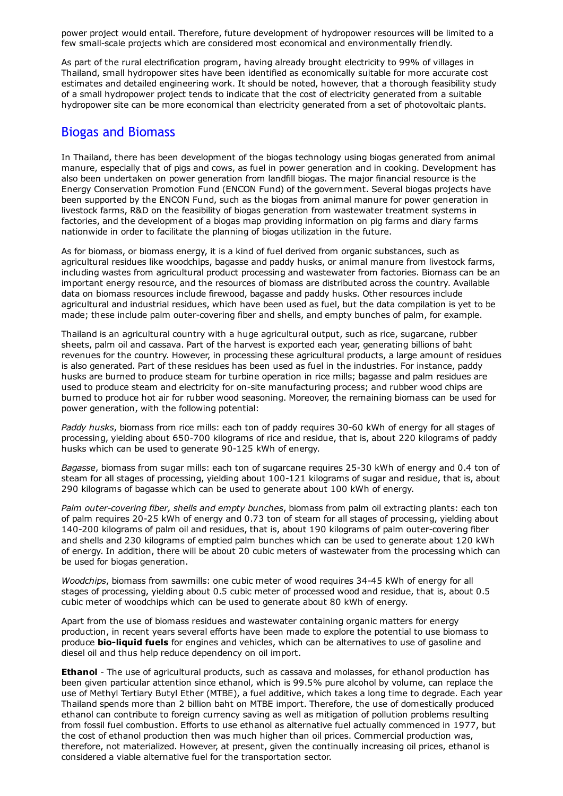power project would entail. Therefore, future development of hydropower resources will be limited to a few small-scale projects which are considered most economical and environmentally friendly.

As part of the rural electrification program, having already brought electricity to 99% of villages in Thailand, small hydropower sites have been identified as economically suitable for more accurate cost estimates and detailed engineering work. It should be noted, however, that a thorough feasibility study of a small hydropower project tends to indicate that the cost of electricity generated from a suitable hydropower site can be more economical than electricity generated from a set of photovoltaic plants.

#### Biogas and Biomass

In Thailand, there has been development of the biogas technology using biogas generated from animal manure, especially that of pigs and cows, as fuel in power generation and in cooking. Development has also been undertaken on power generation from landfill biogas. The major financial resource is the Energy Conservation Promotion Fund (ENCON Fund) of the government. Several biogas projects have been supported by the ENCON Fund, such as the biogas from animal manure for power generation in livestock farms, R&D on the feasibility of biogas generation from wastewater treatment systems in factories, and the development of a biogas map providing information on pig farms and diary farms nationwide in order to facilitate the planning of biogas utilization in the future.

As for biomass, or biomass energy, it is a kind of fuel derived from organic substances, such as agricultural residues like woodchips, bagasse and paddy husks, or animal manure from livestock farms, including wastes from agricultural product processing and wastewater from factories. Biomass can be an important energy resource, and the resources of biomass are distributed across the country. Available data on biomass resources include firewood, bagasse and paddy husks. Other resources include agricultural and industrial residues, which have been used as fuel, but the data compilation is yet to be made; these include palm outer-covering fiber and shells, and empty bunches of palm, for example.

Thailand is an agricultural country with a huge agricultural output, such as rice, sugarcane, rubber sheets, palm oil and cassava. Part of the harvest is exported each year, generating billions of baht revenues for the country. However, in processing these agricultural products, a large amount of residues is also generated. Part of these residues has been used as fuel in the industries. For instance, paddy husks are burned to produce steam for turbine operation in rice mills; bagasse and palm residues are used to produce steam and electricity for on-site manufacturing process; and rubber wood chips are burned to produce hot air for rubber wood seasoning. Moreover, the remaining biomass can be used for power generation, with the following potential:

*Paddy husks*, biomass from rice mills: each ton of paddy requires 30-60 kWh of energy for all stages of processing, yielding about 650-700 kilograms of rice and residue, that is, about 220 kilograms of paddy husks which can be used to generate 90-125 kWh of energy.

Bagasse, biomass from sugar mills: each ton of sugarcane requires 25-30 kWh of energy and 0.4 ton of steam for all stages of processing, yielding about 100-121 kilograms of sugar and residue, that is, about 290 kilograms of bagasse which can be used to generate about 100 kWh of energy.

*Palm outer-covering fiber, shells and empty bunches, biomass from palm oil extracting plants: each ton* of palm requires 20-25 kWh of energy and 0.73 ton of steam for all stages of processing, yielding about 140-200 kilograms of palm oil and residues, that is, about 190 kilograms of palm outer-covering fiber and shells and 230 kilograms of emptied palm bunches which can be used to generate about 120 kWh of energy. In addition, there will be about 20 cubic meters of wastewater from the processing which can be used for biogas generation.

*Woodchips*, biomass from sawmills: one cubic meter of wood requires 34-45 kWh of energy for all stages of processing, yielding about 0.5 cubic meter of processed wood and residue, that is, about 0.5 cubic meter of woodchips which can be used to generate about 80 kWh of energy.

Apart from the use of biomass residues and wastewater containing organic matters for energy production, in recent years several efforts have been made to explore the potential to use biomass to produce bio-liquid fuels for engines and vehicles, which can be alternatives to use of gasoline and diesel oil and thus help reduce dependency on oil import.

**Ethanol** - The use of agricultural products, such as cassava and molasses, for ethanol production has been given particular attention since ethanol, which is 99.5% pure alcohol by volume, can replace the use of Methyl Tertiary Butyl Ether (MTBE), a fuel additive, which takes a long time to degrade. Each year Thailand spends more than 2 billion baht on MTBE import. Therefore, the use of domestically produced ethanol can contribute to foreign currency saving as well as mitigation of pollution problems resulting from fossil fuel combustion. Efforts to use ethanol as alternative fuel actually commenced in 1977, but the cost of ethanol production then was much higher than oil prices. Commercial production was, therefore, not materialized. However, at present, given the continually increasing oil prices, ethanol is considered a viable alternative fuel for the transportation sector.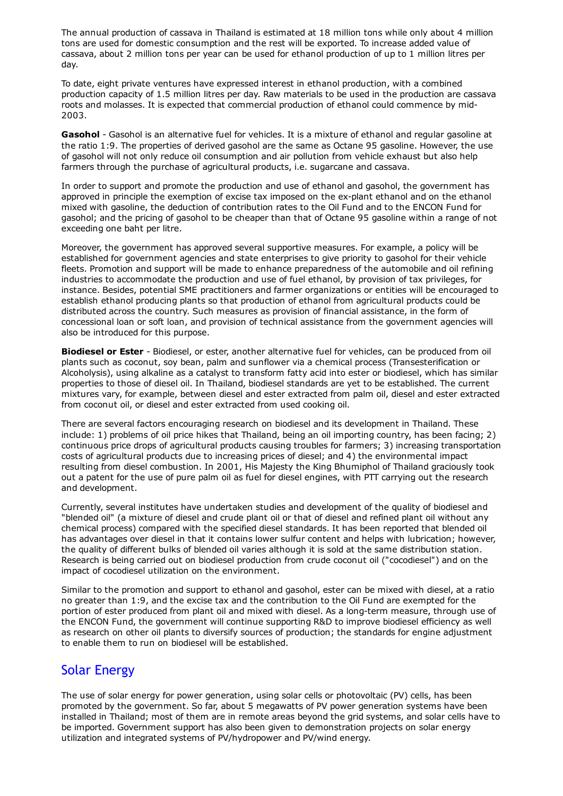The annual production of cassava in Thailand is estimated at 18 million tons while only about 4 million tons are used for domestic consumption and the rest will be exported. To increase added value of cassava, about 2 million tons per year can be used for ethanol production of up to 1 million litres per day.

To date, eight private ventures have expressed interest in ethanol production, with a combined production capacity of 1.5 million litres per day. Raw materials to be used in the production are cassava roots and molasses. It is expected that commercial production of ethanol could commence by mid-2003.

Gasohol - Gasohol is an alternative fuel for vehicles. It is a mixture of ethanol and regular gasoline at the ratio 1:9. The properties of derived gasohol are the same as Octane 95 gasoline. However, the use of gasohol will not only reduce oil consumption and air pollution from vehicle exhaust but also help farmers through the purchase of agricultural products, i.e. sugarcane and cassava.

In order to support and promote the production and use of ethanol and gasohol, the government has approved in principle the exemption of excise tax imposed on the ex-plant ethanol and on the ethanol mixed with gasoline, the deduction of contribution rates to the Oil Fund and to the ENCON Fund for gasohol; and the pricing of gasohol to be cheaper than that of Octane 95 gasoline within a range of not exceeding one baht per litre.

Moreover, the government has approved several supportive measures. For example, a policy will be established for government agencies and state enterprises to give priority to gasohol for their vehicle fleets. Promotion and support will be made to enhance preparedness of the automobile and oil refining industries to accommodate the production and use of fuel ethanol, by provision of tax privileges, for instance. Besides, potential SME practitioners and farmer organizations or entities will be encouraged to establish ethanol producing plants so that production of ethanol from agricultural products could be distributed across the country. Such measures as provision of financial assistance, in the form of concessional loan or soft loan, and provision of technical assistance from the government agencies will also be introduced for this purpose.

Biodiesel or Ester - Biodiesel, or ester, another alternative fuel for vehicles, can be produced from oil plants such as coconut, soy bean, palm and sunflower via a chemical process (Transesterification or Alcoholysis), using alkaline as a catalyst to transform fatty acid into ester or biodiesel, which has similar properties to those of diesel oil. In Thailand, biodiesel standards are yet to be established. The current mixtures vary, for example, between diesel and ester extracted from palm oil, diesel and ester extracted from coconut oil, or diesel and ester extracted from used cooking oil.

There are several factors encouraging research on biodiesel and its development in Thailand. These include: 1) problems of oil price hikes that Thailand, being an oil importing country, has been facing; 2) continuous price drops of agricultural products causing troubles for farmers; 3) increasing transportation costs of agricultural products due to increasing prices of diesel; and 4) the environmental impact resulting from diesel combustion. In 2001, His Majesty the King Bhumiphol of Thailand graciously took out a patent for the use of pure palm oil as fuel for diesel engines, with PTT carrying out the research and development.

Currently, several institutes have undertaken studies and development of the quality of biodiesel and "blended oil" (a mixture of diesel and crude plant oil or that of diesel and refined plant oil without any chemical process) compared with the specified diesel standards. It has been reported that blended oil has advantages over diesel in that it contains lower sulfur content and helps with lubrication; however, the quality of different bulks of blended oil varies although it is sold at the same distribution station. Research is being carried out on biodiesel production from crude coconut oil ("cocodiesel") and on the impact of cocodiesel utilization on the environment.

Similar to the promotion and support to ethanol and gasohol, ester can be mixed with diesel, at a ratio no greater than 1:9, and the excise tax and the contribution to the Oil Fund are exempted for the portion of ester produced from plant oil and mixed with diesel. As a long-term measure, through use of the ENCON Fund, the government will continue supporting R&D to improve biodiesel efficiency as well as research on other oil plants to diversify sources of production; the standards for engine adjustment to enable them to run on biodiesel will be established.

#### Solar Energy

The use of solar energy for power generation, using solar cells or photovoltaic (PV) cells, has been promoted by the government. So far, about 5 megawatts of PV power generation systems have been installed in Thailand; most of them are in remote areas beyond the grid systems, and solar cells have to be imported. Government support has also been given to demonstration projects on solar energy utilization and integrated systems of PV/hydropower and PV/wind energy.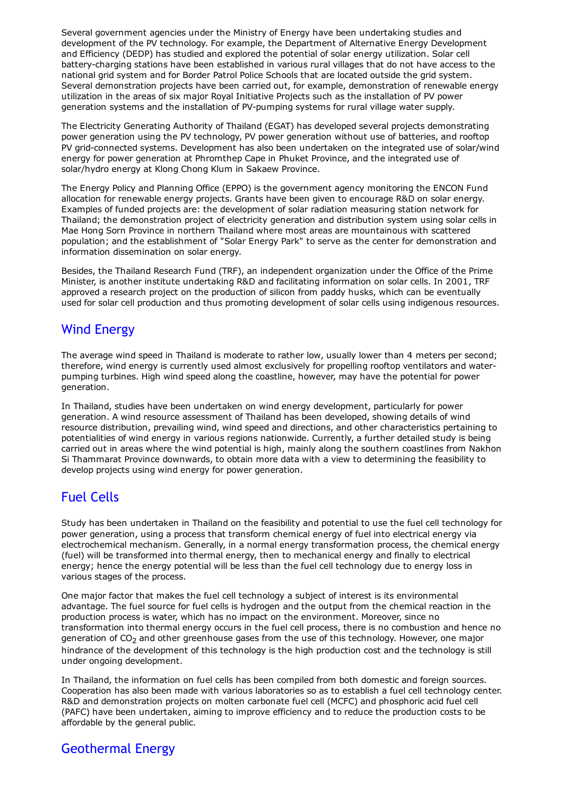Several government agencies under the Ministry of Energy have been undertaking studies and development of the PV technology. For example, the Department of Alternative Energy Development and Efficiency (DEDP) has studied and explored the potential of solar energy utilization. Solar cell battery-charging stations have been established in various rural villages that do not have access to the national grid system and for Border Patrol Police Schools that are located outside the grid system. Several demonstration projects have been carried out, for example, demonstration of renewable energy utilization in the areas of six major Royal Initiative Projects such as the installation of PV power generation systems and the installation of PV-pumping systems for rural village water supply.

The Electricity Generating Authority of Thailand (EGAT) has developed several projects demonstrating power generation using the PV technology, PV power generation without use of batteries, and rooftop PV grid-connected systems. Development has also been undertaken on the integrated use of solar/wind energy for power generation at Phromthep Cape in Phuket Province, and the integrated use of solar/hydro energy at Klong Chong Klum in Sakaew Province.

The Energy Policy and Planning Office (EPPO) is the government agency monitoring the ENCON Fund allocation for renewable energy projects. Grants have been given to encourage R&D on solar energy. Examples of funded projects are: the development of solar radiation measuring station network for Thailand; the demonstration project of electricity generation and distribution system using solar cells in Mae Hong Sorn Province in northern Thailand where most areas are mountainous with scattered population; and the establishment of "Solar Energy Park" to serve as the center for demonstration and information dissemination on solar energy.

Besides, the Thailand Research Fund (TRF), an independent organization under the Office of the Prime Minister, is another institute undertaking R&D and facilitating information on solar cells. In 2001, TRF approved a research project on the production of silicon from paddy husks, which can be eventually used for solar cell production and thus promoting development of solar cells using indigenous resources.

#### Wind Energy

The average wind speed in Thailand is moderate to rather low, usually lower than 4 meters per second; therefore, wind energy is currently used almost exclusively for propelling rooftop ventilators and waterpumping turbines. High wind speed along the coastline, however, may have the potential for power generation.

In Thailand, studies have been undertaken on wind energy development, particularly for power generation. A wind resource assessment of Thailand has been developed, showing details of wind resource distribution, prevailing wind, wind speed and directions, and other characteristics pertaining to potentialities of wind energy in various regions nationwide. Currently, a further detailed study is being carried out in areas where the wind potential is high, mainly along the southern coastlines from Nakhon Si Thammarat Province downwards, to obtain more data with a view to determining the feasibility to develop projects using wind energy for power generation.

## Fuel Cells

Study has been undertaken in Thailand on the feasibility and potential to use the fuel cell technology for power generation, using a process that transform chemical energy of fuel into electrical energy via electrochemical mechanism. Generally, in a normal energy transformation process, the chemical energy (fuel) will be transformed into thermal energy, then to mechanical energy and finally to electrical energy; hence the energy potential will be less than the fuel cell technology due to energy loss in various stages of the process.

One major factor that makes the fuel cell technology a subject of interest is its environmental advantage. The fuel source for fuel cells is hydrogen and the output from the chemical reaction in the production process is water, which has no impact on the environment. Moreover, since no transformation into thermal energy occurs in the fuel cell process, there is no combustion and hence no generation of  $CO<sub>2</sub>$  and other greenhouse gases from the use of this technology. However, one major hindrance of the development of this technology is the high production cost and the technology is still under ongoing development.

In Thailand, the information on fuel cells has been compiled from both domestic and foreign sources. Cooperation has also been made with various laboratories so as to establish a fuel cell technology center. R&D and demonstration projects on molten carbonate fuel cell (MCFC) and phosphoric acid fuel cell (PAFC) have been undertaken, aiming to improve efficiency and to reduce the production costs to be affordable by the general public.

## Geothermal Energy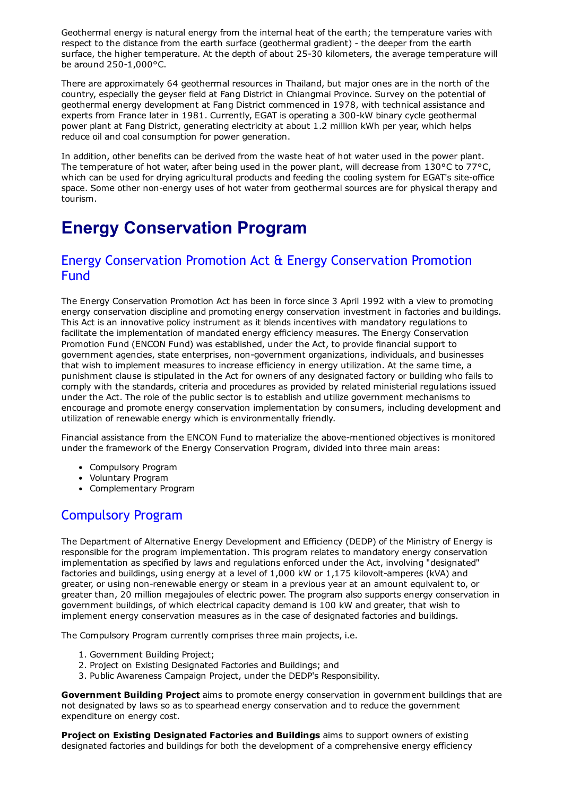Geothermal energy is natural energy from the internal heat of the earth; the temperature varies with respect to the distance from the earth surface (geothermal gradient) - the deeper from the earth surface, the higher temperature. At the depth of about 25-30 kilometers, the average temperature will be around  $250-1,000$ °C.

There are approximately 64 geothermal resources in Thailand, but major ones are in the north of the country, especially the geyser field at Fang District in Chiangmai Province. Survey on the potential of geothermal energy development at Fang District commenced in 1978, with technical assistance and experts from France later in 1981. Currently, EGAT is operating a 300-kW binary cycle geothermal power plant at Fang District, generating electricity at about 1.2 million kWh per year, which helps reduce oil and coal consumption for power generation.

In addition, other benefits can be derived from the waste heat of hot water used in the power plant. The temperature of hot water, after being used in the power plant, will decrease from 130°C to 77°C, which can be used for drying agricultural products and feeding the cooling system for EGAT's site-office space. Some other non-energy uses of hot water from geothermal sources are for physical therapy and tourism.

# Energy Conservation Program

#### Energy Conservation Promotion Act & Energy Conservation Promotion Fund

The Energy Conservation Promotion Act has been in force since 3 April 1992 with a view to promoting energy conservation discipline and promoting energy conservation investment in factories and buildings. This Act is an innovative policy instrument as it blends incentives with mandatory regulations to facilitate the implementation of mandated energy efficiency measures. The Energy Conservation Promotion Fund (ENCON Fund) was established, under the Act, to provide financial support to government agencies, state enterprises, non-government organizations, individuals, and businesses that wish to implement measures to increase efficiency in energy utilization. At the same time, a punishment clause is stipulated in the Act for owners of any designated factory or building who fails to comply with the standards, criteria and procedures as provided by related ministerial regulations issued under the Act. The role of the public sector is to establish and utilize government mechanisms to encourage and promote energy conservation implementation by consumers, including development and utilization of renewable energy which is environmentally friendly.

Financial assistance from the ENCON Fund to materialize the above-mentioned objectives is monitored under the framework of the Energy Conservation Program, divided into three main areas:

- Compulsory Program
- Voluntary Program
- Complementary Program

#### Compulsory Program

The Department of Alternative Energy Development and Efficiency (DEDP) of the Ministry of Energy is responsible for the program implementation. This program relates to mandatory energy conservation implementation as specified by laws and regulations enforced under the Act, involving "designated" factories and buildings, using energy at a level of 1,000 kW or 1,175 kilovolt-amperes (kVA) and greater, or using non-renewable energy or steam in a previous year at an amount equivalent to, or greater than, 20 million megajoules of electric power. The program also supports energy conservation in government buildings, of which electrical capacity demand is 100 kW and greater, that wish to implement energy conservation measures as in the case of designated factories and buildings.

The Compulsory Program currently comprises three main projects, i.e.

- 1. Government Building Project;
- 2. Project on Existing Designated Factories and Buildings; and
- 3. Public Awareness Campaign Project, under the DEDP's Responsibility.

Government Building Project aims to promote energy conservation in government buildings that are not designated by laws so as to spearhead energy conservation and to reduce the government expenditure on energy cost.

Project on Existing Designated Factories and Buildings aims to support owners of existing designated factories and buildings for both the development of a comprehensive energy efficiency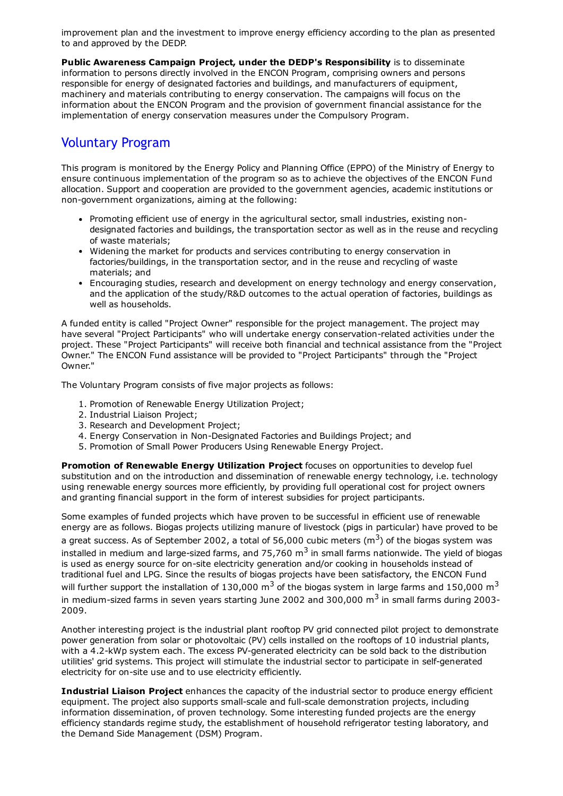improvement plan and the investment to improve energy efficiency according to the plan as presented to and approved by the DEDP.

Public Awareness Campaign Project, under the DEDP's Responsibility is to disseminate information to persons directly involved in the ENCON Program, comprising owners and persons responsible for energy of designated factories and buildings, and manufacturers of equipment, machinery and materials contributing to energy conservation. The campaigns will focus on the information about the ENCON Program and the provision of government financial assistance for the implementation of energy conservation measures under the Compulsory Program.

#### Voluntary Program

This program is monitored by the Energy Policy and Planning Office (EPPO) of the Ministry of Energy to ensure continuous implementation of the program so as to achieve the objectives of the ENCON Fund allocation. Support and cooperation are provided to the government agencies, academic institutions or non-government organizations, aiming at the following:

- Promoting efficient use of energy in the agricultural sector, small industries, existing nondesignated factories and buildings, the transportation sector as well as in the reuse and recycling of waste materials;
- Widening the market for products and services contributing to energy conservation in factories/buildings, in the transportation sector, and in the reuse and recycling of waste materials; and
- Encouraging studies, research and development on energy technology and energy conservation, and the application of the study/R&D outcomes to the actual operation of factories, buildings as well as households.

A funded entity is called "Project Owner" responsible for the project management. The project may have several "Project Participants" who will undertake energy conservation-related activities under the project. These "Project Participants" will receive both financial and technical assistance from the "Project Owner." The ENCON Fund assistance will be provided to "Project Participants" through the "Project Owner."

The Voluntary Program consists of five major projects as follows:

- 1. Promotion of Renewable Energy Utilization Project;
- 2. Industrial Liaison Project;
- 3. Research and Development Project;
- 4. Energy Conservation in Non-Designated Factories and Buildings Project; and
- 5. Promotion of Small Power Producers Using Renewable Energy Project.

Promotion of Renewable Energy Utilization Project focuses on opportunities to develop fuel substitution and on the introduction and dissemination of renewable energy technology, i.e. technology using renewable energy sources more efficiently, by providing full operational cost for project owners and granting financial support in the form of interest subsidies for project participants.

Some examples of funded projects which have proven to be successful in efficient use of renewable energy are as follows. Biogas projects utilizing manure of livestock (pigs in particular) have proved to be a great success. As of September 2002, a total of 56,000 cubic meters (m<sup>3</sup>) of the biogas system was installed in medium and large-sized farms, and 75,760 m<sup>3</sup> in small farms nationwide. The yield of biogas is used as energy source for on-site electricity generation and/or cooking in households instead of traditional fuel and LPG. Since the results of biogas projects have been satisfactory, the ENCON Fund will further support the installation of 130,000 m<sup>3</sup> of the biogas system in large farms and 150,000 m<sup>3</sup> in medium-sized farms in seven years starting June 2002 and 300,000  $\text{m}^3$  in small farms during 2003-2009.

Another interesting project is the industrial plant rooftop PV grid connected pilot project to demonstrate power generation from solar or photovoltaic (PV) cells installed on the rooftops of 10 industrial plants, with a 4.2-kWp system each. The excess PV-generated electricity can be sold back to the distribution utilities' grid systems. This project will stimulate the industrial sector to participate in self-generated electricity for on-site use and to use electricity efficiently.

Industrial Liaison Project enhances the capacity of the industrial sector to produce energy efficient equipment. The project also supports small-scale and full-scale demonstration projects, including information dissemination, of proven technology. Some interesting funded projects are the energy efficiency standards regime study, the establishment of household refrigerator testing laboratory, and the Demand Side Management (DSM) Program.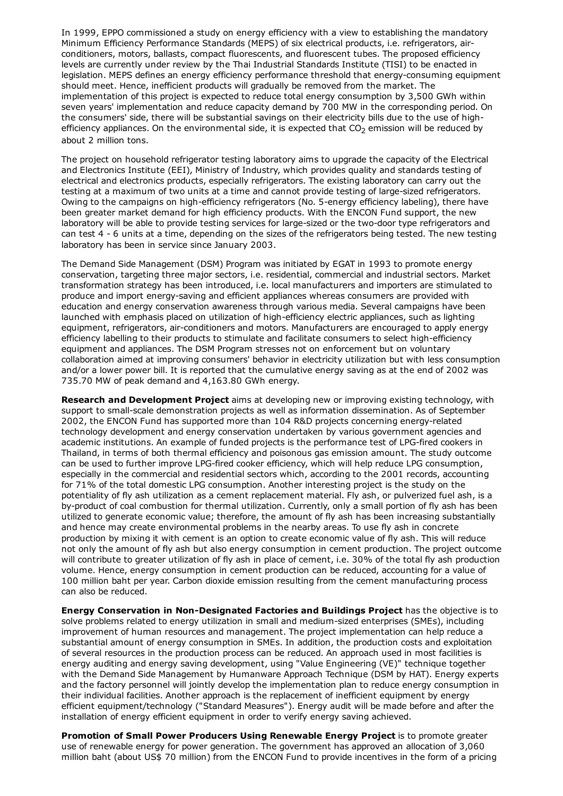In 1999, EPPO commissioned a study on energy efficiency with a view to establishing the mandatory Minimum Efficiency Performance Standards (MEPS) of six electrical products, i.e. refrigerators, airconditioners, motors, ballasts, compact fluorescents, and fluorescent tubes. The proposed efficiency levels are currently under review by the Thai Industrial Standards Institute (TISI) to be enacted in legislation. MEPS defines an energy efficiency performance threshold that energy-consuming equipment should meet. Hence, inefficient products will gradually be removed from the market. The implementation of this project is expected to reduce total energy consumption by 3,500 GWh within seven years' implementation and reduce capacity demand by 700 MW in the corresponding period. On the consumers' side, there will be substantial savings on their electricity bills due to the use of highefficiency appliances. On the environmental side, it is expected that  $CO<sub>2</sub>$  emission will be reduced by about 2 million tons.

The project on household refrigerator testing laboratory aims to upgrade the capacity of the Electrical and Electronics Institute (EEI), Ministry of Industry, which provides quality and standards testing of electrical and electronics products, especially refrigerators. The existing laboratory can carry out the testing at a maximum of two units at a time and cannot provide testing of large-sized refrigerators. Owing to the campaigns on high-efficiency refrigerators (No. 5-energy efficiency labeling), there have been greater market demand for high efficiency products. With the ENCON Fund support, the new laboratory will be able to provide testing services for large-sized or the two-door type refrigerators and can test 4 - 6 units at a time, depending on the sizes of the refrigerators being tested. The new testing laboratory has been in service since January 2003.

The Demand Side Management (DSM) Program was initiated by EGAT in 1993 to promote energy conservation, targeting three major sectors, i.e. residential, commercial and industrial sectors. Market transformation strategy has been introduced, i.e. local manufacturers and importers are stimulated to produce and import energy-saving and efficient appliances whereas consumers are provided with education and energy conservation awareness through various media. Several campaigns have been launched with emphasis placed on utilization of high-efficiency electric appliances, such as lighting equipment, refrigerators, air-conditioners and motors. Manufacturers are encouraged to apply energy efficiency labelling to their products to stimulate and facilitate consumers to select high-efficiency equipment and appliances. The DSM Program stresses not on enforcement but on voluntary collaboration aimed at improving consumers' behavior in electricity utilization but with less consumption and/or a lower power bill. It is reported that the cumulative energy saving as at the end of 2002 was 735.70 MW of peak demand and 4,163.80 GWh energy.

Research and Development Project aims at developing new or improving existing technology, with support to small-scale demonstration projects as well as information dissemination. As of September 2002, the ENCON Fund has supported more than 104 R&D projects concerning energy-related technology development and energy conservation undertaken by various government agencies and academic institutions. An example of funded projects is the performance test of LPG-fired cookers in Thailand, in terms of both thermal efficiency and poisonous gas emission amount. The study outcome can be used to further improve LPG-fired cooker efficiency, which will help reduce LPG consumption, especially in the commercial and residential sectors which, according to the 2001 records, accounting for 71% of the total domestic LPG consumption. Another interesting project is the study on the potentiality of fly ash utilization as a cement replacement material. Fly ash, or pulverized fuel ash, is a by-product of coal combustion for thermal utilization. Currently, only a small portion of fly ash has been utilized to generate economic value; therefore, the amount of fly ash has been increasing substantially and hence may create environmental problems in the nearby areas. To use fly ash in concrete production by mixing it with cement is an option to create economic value of fly ash. This will reduce not only the amount of fly ash but also energy consumption in cement production. The project outcome will contribute to greater utilization of fly ash in place of cement, i.e. 30% of the total fly ash production volume. Hence, energy consumption in cement production can be reduced, accounting for a value of 100 million baht per year. Carbon dioxide emission resulting from the cement manufacturing process can also be reduced.

Energy Conservation in Non-Designated Factories and Buildings Project has the objective is to solve problems related to energy utilization in small and medium-sized enterprises (SMEs), including improvement of human resources and management. The project implementation can help reduce a substantial amount of energy consumption in SMEs. In addition, the production costs and exploitation of several resources in the production process can be reduced. An approach used in most facilities is energy auditing and energy saving development, using "Value Engineering (VE)" technique together with the Demand Side Management by Humanware Approach Technique (DSM by HAT). Energy experts and the factory personnel will jointly develop the implementation plan to reduce energy consumption in their individual facilities. Another approach is the replacement of inefficient equipment by energy efficient equipment/technology ("Standard Measures"). Energy audit will be made before and after the installation of energy efficient equipment in order to verify energy saving achieved.

Promotion of Small Power Producers Using Renewable Energy Project is to promote greater use of renewable energy for power generation. The government has approved an allocation of 3,060 million baht (about US\$ 70 million) from the ENCON Fund to provide incentives in the form of a pricing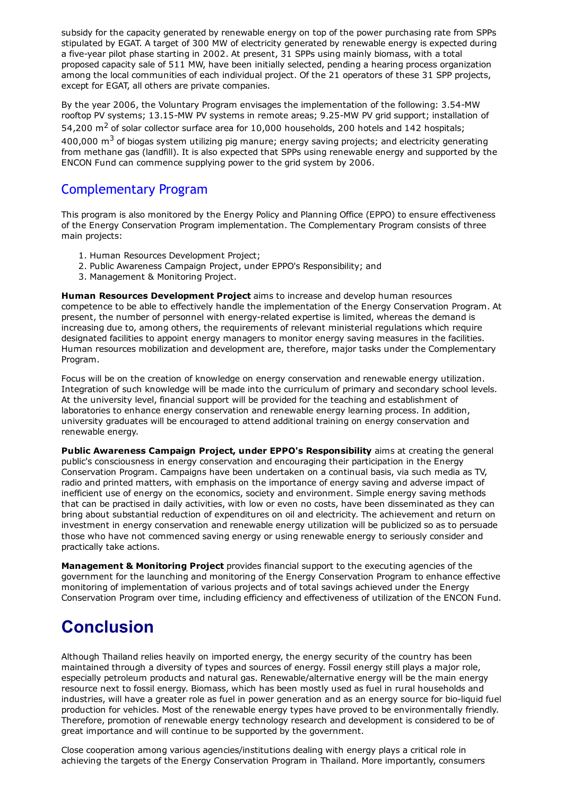subsidy for the capacity generated by renewable energy on top of the power purchasing rate from SPPs stipulated by EGAT. A target of 300 MW of electricity generated by renewable energy is expected during a five-year pilot phase starting in 2002. At present, 31 SPPs using mainly biomass, with a total proposed capacity sale of 511 MW, have been initially selected, pending a hearing process organization among the local communities of each individual project. Of the 21 operators of these 31 SPP projects, except for EGAT, all others are private companies.

By the year 2006, the Voluntary Program envisages the implementation of the following: 3.54-MW rooftop PV systems; 13.15-MW PV systems in remote areas; 9.25-MW PV grid support; installation of 54,200  $\text{m}^2$  of solar collector surface area for 10,000 households, 200 hotels and 142 hospitals; 400,000  $\text{m}^3$  of biogas system utilizing pig manure; energy saving projects; and electricity generating from methane gas (landfill). It is also expected that SPPs using renewable energy and supported by the ENCON Fund can commence supplying power to the grid system by 2006.

#### Complementary Program

This program is also monitored by the Energy Policy and Planning Office (EPPO) to ensure effectiveness of the Energy Conservation Program implementation. The Complementary Program consists of three main projects:

- 1. Human Resources Development Project;
- 2. Public Awareness Campaign Project, under EPPO's Responsibility; and
- 3. Management & Monitoring Project.

Human Resources Development Project aims to increase and develop human resources competence to be able to effectively handle the implementation of the Energy Conservation Program. At present, the number of personnel with energy-related expertise is limited, whereas the demand is increasing due to, among others, the requirements of relevant ministerial regulations which require designated facilities to appoint energy managers to monitor energy saving measures in the facilities. Human resources mobilization and development are, therefore, major tasks under the Complementary Program.

Focus will be on the creation of knowledge on energy conservation and renewable energy utilization. Integration of such knowledge will be made into the curriculum of primary and secondary school levels. At the university level, financial support will be provided for the teaching and establishment of laboratories to enhance energy conservation and renewable energy learning process. In addition, university graduates will be encouraged to attend additional training on energy conservation and renewable energy.

Public Awareness Campaign Project, under EPPO's Responsibility aims at creating the general public's consciousness in energy conservation and encouraging their participation in the Energy Conservation Program. Campaigns have been undertaken on a continual basis, via such media as TV, radio and printed matters, with emphasis on the importance of energy saving and adverse impact of inefficient use of energy on the economics, society and environment. Simple energy saving methods that can be practised in daily activities, with low or even no costs, have been disseminated as they can bring about substantial reduction of expenditures on oil and electricity. The achievement and return on investment in energy conservation and renewable energy utilization will be publicized so as to persuade those who have not commenced saving energy or using renewable energy to seriously consider and practically take actions.

Management & Monitoring Project provides financial support to the executing agencies of the government for the launching and monitoring of the Energy Conservation Program to enhance effective monitoring of implementation of various projects and of total savings achieved under the Energy Conservation Program over time, including efficiency and effectiveness of utilization of the ENCON Fund.

# Conclusion

Although Thailand relies heavily on imported energy, the energy security of the country has been maintained through a diversity of types and sources of energy. Fossil energy still plays a major role, especially petroleum products and natural gas. Renewable/alternative energy will be the main energy resource next to fossil energy. Biomass, which has been mostly used as fuel in rural households and industries, will have a greater role as fuel in power generation and as an energy source for bio-liquid fuel production for vehicles. Most of the renewable energy types have proved to be environmentally friendly. Therefore, promotion of renewable energy technology research and development is considered to be of great importance and will continue to be supported by the government.

Close cooperation among various agencies/institutions dealing with energy plays a critical role in achieving the targets of the Energy Conservation Program in Thailand. More importantly, consumers